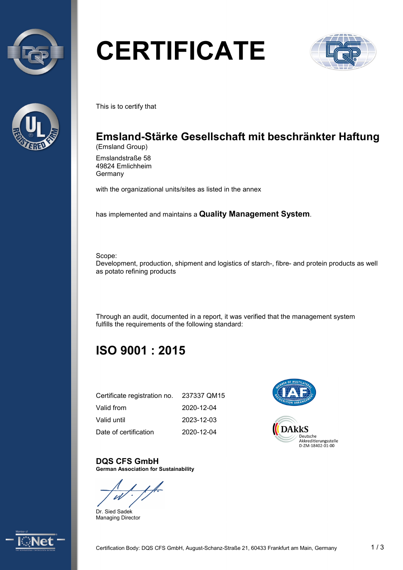



# **CERTIFICATE**



This is to certify that

## **Emsland-Stärke Gesellschaft mit beschränkter Haftung**

(Emsland Group)

Emslandstraße 58 49824 Emlichheim **Germany** 

with the organizational units/sites as listed in the annex

has implemented and maintains a **Quality Management System**.

Scope:

Development, production, shipment and logistics of starch-, fibre- and protein products as well as potato refining products

Through an audit, documented in a report, it was verified that the management system fulfills the requirements of the following standard:

## **ISO 9001 : 2015**

| Certificate registration no. | 237337 QM15 |
|------------------------------|-------------|
| Valid from                   | 2020-12-04  |
| Valid until                  | 2023-12-03  |
| Date of certification        | 2020-12-04  |



### **DQS CFS GmbH**

**German Association for Sustainability**

Dr. Sied Sadek Managing Director

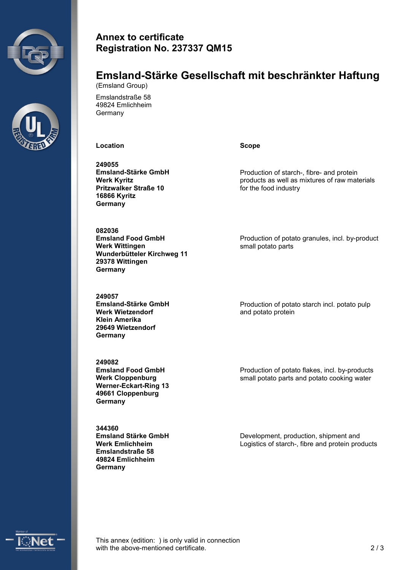



#### **Annex to certificate Registration No. 237337 QM15**

#### **Emsland-Stärke Gesellschaft mit beschränkter Haftung** (Emsland Group)

Emslandstraße 58 49824 Emlichheim Germany

**Location Scope**

**249055 Emsland-Stärke GmbH Werk Kyritz Pritzwalker Straße 10 16866 Kyritz Germany**

**082036 Emsland Food GmbH Werk Wittingen Wunderbütteler Kirchweg 11 29378 Wittingen Germany**

**249057 Emsland-Stärke GmbH Werk Wietzendorf Klein Amerika 29649 Wietzendorf Germany**

**249082 Emsland Food GmbH Werk Cloppenburg Werner-Eckart-Ring 13 49661 Cloppenburg Germany**

**344360 Emsland Stärke GmbH Werk Emlichheim Emslandstraße 58 49824 Emlichheim Germany**

Production of starch-, fibre- and protein products as well as mixtures of raw materials for the food industry

Production of potato granules, incl. by-product small potato parts

Production of potato starch incl. potato pulp and potato protein

Production of potato flakes, incl. by-products small potato parts and potato cooking water

Development, production, shipment and Logistics of starch-, fibre and protein products



This annex (edition: ) is only valid in connection with the above-mentioned certificate. 2/3